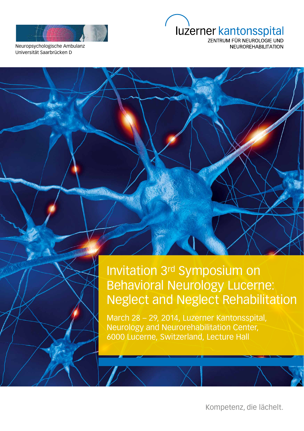

luzerner kantonsspital

Neuropsychologische Ambulanz Universität Saarbrücken D

ZENTRUM FÜR NEUROLOGIE UND **NEUROREHABILITATION** 

# Invitation 3rd Symposium on Behavioral Neurology Lucerne: Neglect and Neglect Rehabilitation

March 28 – 29, 2014, Luzerner Kantonsspital, Neurology and Neurorehabilitation Center, 6000 Lucerne, Switzerland, Lecture Hall

Kompetenz, die lächelt.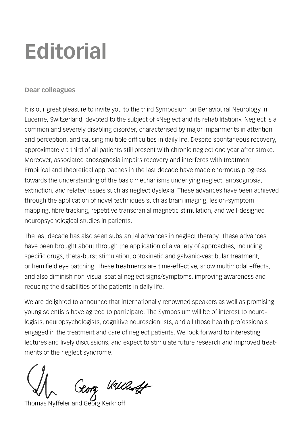# **Editorial**

### **Dear colleagues**

It is our great pleasure to invite you to the third Symposium on Behavioural Neurology in Lucerne, Switzerland, devoted to the subject of «Neglect and its rehabilitation». Neglect is a common and severely disabling disorder, characterised by major impairments in attention and perception, and causing multiple difficulties in daily life. Despite spontaneous recovery, approximately a third of all patients still present with chronic neglect one year after stroke. Moreover, associated anosognosia impairs recovery and interferes with treatment. Empirical and theoretical approaches in the last decade have made enormous progress towards the understanding of the basic mechanisms underlying neglect, anosognosia, extinction, and related issues such as neglect dyslexia. These advances have been achieved through the application of novel techniques such as brain imaging, lesion-symptom mapping, fibre tracking, repetitive transcranial magnetic stimulation, and well-designed neuropsychological studies in patients.

The last decade has also seen substantial advances in neglect therapy. These advances have been brought about through the application of a variety of approaches, including specific drugs, theta-burst stimulation, optokinetic and galvanic-vestibular treatment, or hemifield eye patching. These treatments are time-effective, show multimodal effects, and also diminish non-visual spatial neglect signs/symptoms, improving awareness and reducing the disabilities of the patients in daily life.

We are delighted to announce that internationally renowned speakers as well as promising young scientists have agreed to participate. The Symposium will be of interest to neurologists, neuropsychologists, cognitive neuroscientists, and all those health professionals engaged in the treatment and care of neglect patients. We look forward to interesting lectures and lively discussions, and expect to stimulate future research and improved treatments of the neglect syndrome.

Georg Wallest

Thomas Nyffeler and Georg Kerkhoff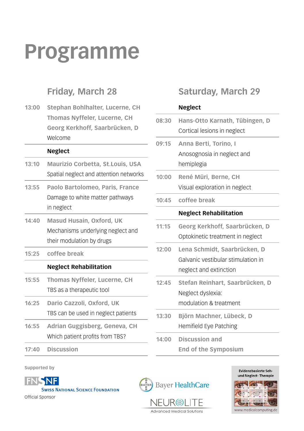# **Programme**

## **Friday, March 28**

**13:00 Stephan Bohlhalter, Lucerne, CH Thomas Nyffeler, Lucerne, CH Georg Kerkhoff, Saarbrücken, D**  Welcome

#### **Neglect**

- **13:10 Maurizio Corbetta, St.Louis, USA** Spatial neglect and attention networks
- **13:55 Paolo Bartolomeo, Paris, France** Damage to white matter pathways in neglect
- **14:40 Masud Husain, Oxford, UK**  Mechanisms underlying neglect and their modulation by drugs
- **15:25 coffee break**

#### **Neglect Rehabilitation**

- **15:55 Thomas Nyffeler, Lucerne, CH** TBS as a therapeutic tool
- **16:25 Dario Cazzoli, Oxford, UK** TBS can be used in neglect patients
- **16:55 Adrian Guggisberg, Geneva, CH** Which patient profits from TBS?
- **17:40 Discussion**

**Saturday, March 29**

#### **Neglect**

| 08:30 | Hans-Otto Karnath, Tübingen, D<br>Cortical lesions in neglect                                |
|-------|----------------------------------------------------------------------------------------------|
| 09:15 | Anna Berti, Torino, I<br>Anosognosia in neglect and<br>hemiplegia                            |
| 10:00 | René Müri, Berne, CH<br>Visual exploration in neglect                                        |
| 10:45 | coffee break                                                                                 |
|       | <b>Neglect Rehabilitation</b>                                                                |
| 11:15 | Georg Kerkhoff, Saarbrücken, D<br>Optokinetic treatment in neglect                           |
| 12:00 | Lena Schmidt, Saarbrücken, D<br>Galvanic vestibular stimulation in<br>neglect and extinction |
| 12:45 | Stefan Reinhart, Saarbrücken, D<br>Neglect dyslexia:<br>modulation & treatment               |
| 13:30 | Björn Machner, Lübeck, D<br><b>Hemifield Eye Patching</b>                                    |
| 14:00 | <b>Discussion and</b><br><b>End of the Symposium</b>                                         |





Official Sponsor



Advanced Medical Solutions